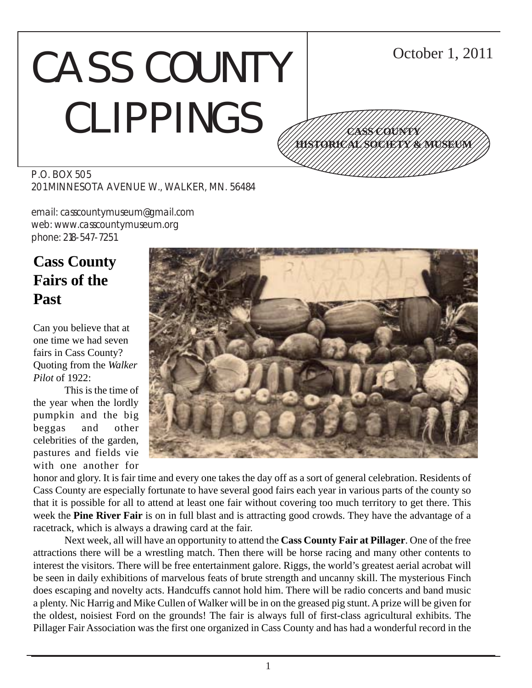# CASS COUNTY CLIPPINGS



P.O. BOX 505 201 MINNESOTA AVENUE W., WALKER, MN. 56484

email: casscountymuseum@gmail.com web: www.casscountymuseum.org phone: 218-547-7251

# **Cass County Fairs of the Past**

Can you believe that at one time we had seven fairs in Cass County? Quoting from the *Walker Pilot* of 1922:

This is the time of the year when the lordly pumpkin and the big beggas and other celebrities of the garden, pastures and fields vie with one another for



honor and glory. It is fair time and every one takes the day off as a sort of general celebration. Residents of Cass County are especially fortunate to have several good fairs each year in various parts of the county so that it is possible for all to attend at least one fair without covering too much territory to get there. This week the **Pine River Fair** is on in full blast and is attracting good crowds. They have the advantage of a racetrack, which is always a drawing card at the fair.

Next week, all will have an opportunity to attend the **Cass County Fair at Pillager**. One of the free attractions there will be a wrestling match. Then there will be horse racing and many other contents to interest the visitors. There will be free entertainment galore. Riggs, the world's greatest aerial acrobat will be seen in daily exhibitions of marvelous feats of brute strength and uncanny skill. The mysterious Finch does escaping and novelty acts. Handcuffs cannot hold him. There will be radio concerts and band music a plenty. Nic Harrig and Mike Cullen of Walker will be in on the greased pig stunt. A prize will be given for the oldest, noisiest Ford on the grounds! The fair is always full of first-class agricultural exhibits. The Pillager Fair Association was the first one organized in Cass County and has had a wonderful record in the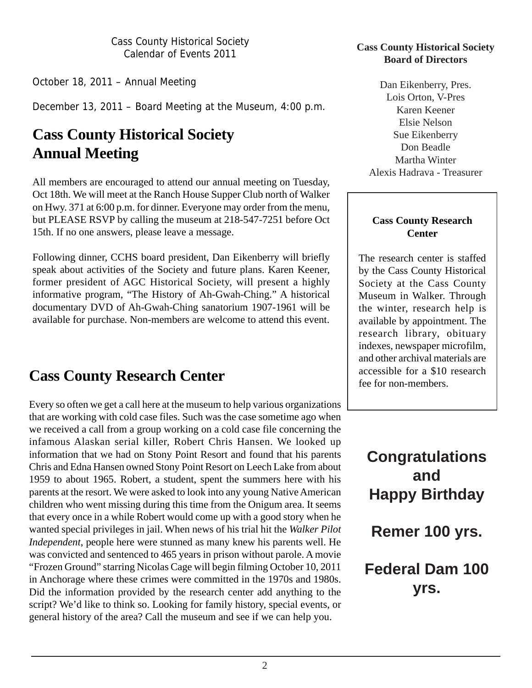October 18, 2011 – Annual Meeting

December 13, 2011 – Board Meeting at the Museum, 4:00 p.m.

# **Cass County Historical Society Annual Meeting**

All members are encouraged to attend our annual meeting on Tuesday, Oct 18th. We will meet at the Ranch House Supper Club north of Walker on Hwy. 371 at 6:00 p.m. for dinner. Everyone may order from the menu, but PLEASE RSVP by calling the museum at 218-547-7251 before Oct 15th. If no one answers, please leave a message.

Following dinner, CCHS board president, Dan Eikenberry will briefly speak about activities of the Society and future plans. Karen Keener, former president of AGC Historical Society, will present a highly informative program, "The History of Ah-Gwah-Ching." A historical documentary DVD of Ah-Gwah-Ching sanatorium 1907-1961 will be available for purchase. Non-members are welcome to attend this event.

# **Cass County Research Center**

Every so often we get a call here at the museum to help various organizations that are working with cold case files. Such was the case sometime ago when we received a call from a group working on a cold case file concerning the infamous Alaskan serial killer, Robert Chris Hansen. We looked up information that we had on Stony Point Resort and found that his parents Chris and Edna Hansen owned Stony Point Resort on Leech Lake from about 1959 to about 1965. Robert, a student, spent the summers here with his parents at the resort. We were asked to look into any young Native American children who went missing during this time from the Onigum area. It seems that every once in a while Robert would come up with a good story when he wanted special privileges in jail. When news of his trial hit the *Walker Pilot Independent*, people here were stunned as many knew his parents well. He was convicted and sentenced to 465 years in prison without parole. A movie "Frozen Ground" starring Nicolas Cage will begin filming October 10, 2011 in Anchorage where these crimes were committed in the 1970s and 1980s. Did the information provided by the research center add anything to the script? We'd like to think so. Looking for family history, special events, or general history of the area? Call the museum and see if we can help you.

#### **Cass County Historical Society Board of Directors**

Dan Eikenberry, Pres. Lois Orton, V-Pres Karen Keener Elsie Nelson Sue Eikenberry Don Beadle Martha Winter Alexis Hadrava - Treasurer

#### **Cass County Research Center**

The research center is staffed by the Cass County Historical Society at the Cass County Museum in Walker. Through the winter, research help is available by appointment. The research library, obituary indexes, newspaper microfilm, and other archival materials are accessible for a \$10 research fee for non-members.

# **Congratulations and Happy Birthday**

**Remer 100 yrs.**

# **Federal Dam 100 yrs.**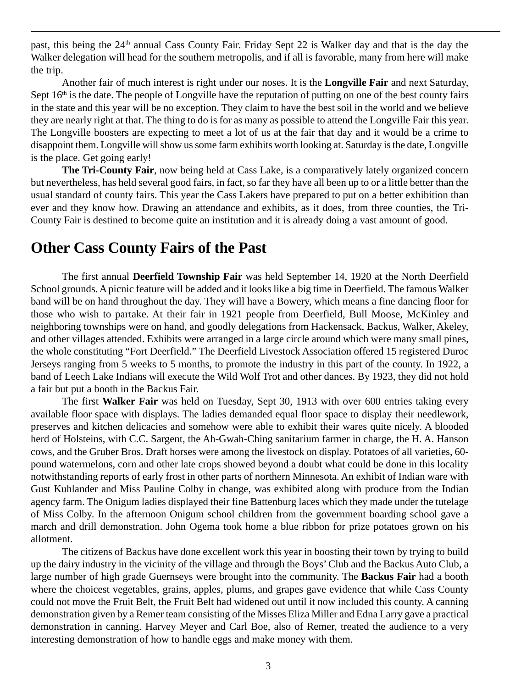past, this being the 24<sup>th</sup> annual Cass County Fair. Friday Sept 22 is Walker day and that is the day the Walker delegation will head for the southern metropolis, and if all is favorable, many from here will make the trip.

Another fair of much interest is right under our noses. It is the **Longville Fair** and next Saturday, Sept  $16<sup>th</sup>$  is the date. The people of Longville have the reputation of putting on one of the best county fairs in the state and this year will be no exception. They claim to have the best soil in the world and we believe they are nearly right at that. The thing to do is for as many as possible to attend the Longville Fair this year. The Longville boosters are expecting to meet a lot of us at the fair that day and it would be a crime to disappoint them. Longville will show us some farm exhibits worth looking at. Saturday is the date, Longville is the place. Get going early!

**The Tri-County Fair**, now being held at Cass Lake, is a comparatively lately organized concern but nevertheless, has held several good fairs, in fact, so far they have all been up to or a little better than the usual standard of county fairs. This year the Cass Lakers have prepared to put on a better exhibition than ever and they know how. Drawing an attendance and exhibits, as it does, from three counties, the Tri-County Fair is destined to become quite an institution and it is already doing a vast amount of good.

## **Other Cass County Fairs of the Past**

The first annual **Deerfield Township Fair** was held September 14, 1920 at the North Deerfield School grounds. A picnic feature will be added and it looks like a big time in Deerfield. The famous Walker band will be on hand throughout the day. They will have a Bowery, which means a fine dancing floor for those who wish to partake. At their fair in 1921 people from Deerfield, Bull Moose, McKinley and neighboring townships were on hand, and goodly delegations from Hackensack, Backus, Walker, Akeley, and other villages attended. Exhibits were arranged in a large circle around which were many small pines, the whole constituting "Fort Deerfield." The Deerfield Livestock Association offered 15 registered Duroc Jerseys ranging from 5 weeks to 5 months, to promote the industry in this part of the county. In 1922, a band of Leech Lake Indians will execute the Wild Wolf Trot and other dances. By 1923, they did not hold a fair but put a booth in the Backus Fair.

The first **Walker Fair** was held on Tuesday, Sept 30, 1913 with over 600 entries taking every available floor space with displays. The ladies demanded equal floor space to display their needlework, preserves and kitchen delicacies and somehow were able to exhibit their wares quite nicely. A blooded herd of Holsteins, with C.C. Sargent, the Ah-Gwah-Ching sanitarium farmer in charge, the H. A. Hanson cows, and the Gruber Bros. Draft horses were among the livestock on display. Potatoes of all varieties, 60 pound watermelons, corn and other late crops showed beyond a doubt what could be done in this locality notwithstanding reports of early frost in other parts of northern Minnesota. An exhibit of Indian ware with Gust Kuhlander and Miss Pauline Colby in change, was exhibited along with produce from the Indian agency farm. The Onigum ladies displayed their fine Battenburg laces which they made under the tutelage of Miss Colby. In the afternoon Onigum school children from the government boarding school gave a march and drill demonstration. John Ogema took home a blue ribbon for prize potatoes grown on his allotment.

The citizens of Backus have done excellent work this year in boosting their town by trying to build up the dairy industry in the vicinity of the village and through the Boys' Club and the Backus Auto Club, a large number of high grade Guernseys were brought into the community. The **Backus Fair** had a booth where the choicest vegetables, grains, apples, plums, and grapes gave evidence that while Cass County could not move the Fruit Belt, the Fruit Belt had widened out until it now included this county. A canning demonstration given by a Remer team consisting of the Misses Eliza Miller and Edna Larry gave a practical demonstration in canning. Harvey Meyer and Carl Boe, also of Remer, treated the audience to a very interesting demonstration of how to handle eggs and make money with them.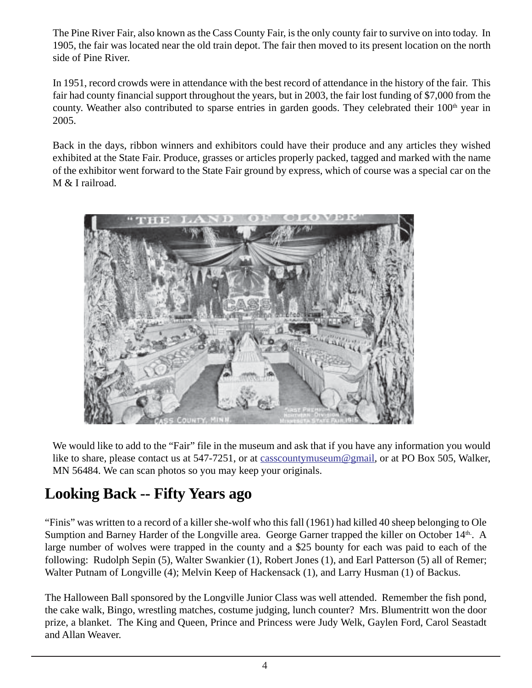The Pine River Fair, also known as the Cass County Fair, is the only county fair to survive on into today. In 1905, the fair was located near the old train depot. The fair then moved to its present location on the north side of Pine River.

In 1951, record crowds were in attendance with the best record of attendance in the history of the fair. This fair had county financial support throughout the years, but in 2003, the fair lost funding of \$7,000 from the county. Weather also contributed to sparse entries in garden goods. They celebrated their 100<sup>th</sup> year in 2005.

Back in the days, ribbon winners and exhibitors could have their produce and any articles they wished exhibited at the State Fair. Produce, grasses or articles properly packed, tagged and marked with the name of the exhibitor went forward to the State Fair ground by express, which of course was a special car on the M & I railroad.



We would like to add to the "Fair" file in the museum and ask that if you have any information you would like to share, please contact us at 547-7251, or at casscountymuseum@gmail, or at PO Box 505, Walker, MN 56484. We can scan photos so you may keep your originals.

# **Looking Back -- Fifty Years ago**

"Finis" was written to a record of a killer she-wolf who this fall (1961) had killed 40 sheep belonging to Ole Sumption and Barney Harder of the Longville area. George Garner trapped the killer on October 14th. A large number of wolves were trapped in the county and a \$25 bounty for each was paid to each of the following: Rudolph Sepin (5), Walter Swankier (1), Robert Jones (1), and Earl Patterson (5) all of Remer; Walter Putnam of Longville (4); Melvin Keep of Hackensack (1), and Larry Husman (1) of Backus.

The Halloween Ball sponsored by the Longville Junior Class was well attended. Remember the fish pond, the cake walk, Bingo, wrestling matches, costume judging, lunch counter? Mrs. Blumentritt won the door prize, a blanket. The King and Queen, Prince and Princess were Judy Welk, Gaylen Ford, Carol Seastadt and Allan Weaver.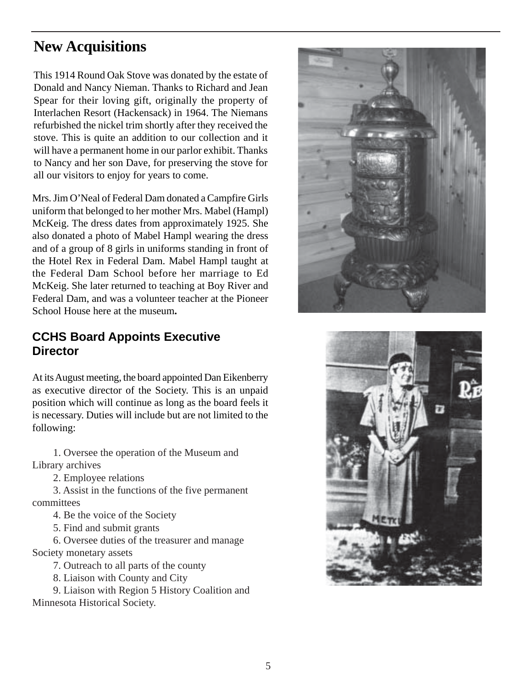# **New Acquisitions**

This 1914 Round Oak Stove was donated by the estate of Donald and Nancy Nieman. Thanks to Richard and Jean Spear for their loving gift, originally the property of Interlachen Resort (Hackensack) in 1964. The Niemans refurbished the nickel trim shortly after they received the stove. This is quite an addition to our collection and it will have a permanent home in our parlor exhibit. Thanks to Nancy and her son Dave, for preserving the stove for all our visitors to enjoy for years to come.

Mrs. Jim O'Neal of Federal Dam donated a Campfire Girls uniform that belonged to her mother Mrs. Mabel (Hampl) McKeig. The dress dates from approximately 1925. She also donated a photo of Mabel Hampl wearing the dress and of a group of 8 girls in uniforms standing in front of the Hotel Rex in Federal Dam. Mabel Hampl taught at the Federal Dam School before her marriage to Ed McKeig. She later returned to teaching at Boy River and Federal Dam, and was a volunteer teacher at the Pioneer School House here at the museum**.**

## **CCHS Board Appoints Executive Director**

At its August meeting, the board appointed Dan Eikenberry as executive director of the Society. This is an unpaid position which will continue as long as the board feels it is necessary. Duties will include but are not limited to the following:

1. Oversee the operation of the Museum and Library archives

2. Employee relations

3. Assist in the functions of the five permanent committees

4. Be the voice of the Society

5. Find and submit grants

6. Oversee duties of the treasurer and manage Society monetary assets

7. Outreach to all parts of the county

8. Liaison with County and City

9. Liaison with Region 5 History Coalition and Minnesota Historical Society.